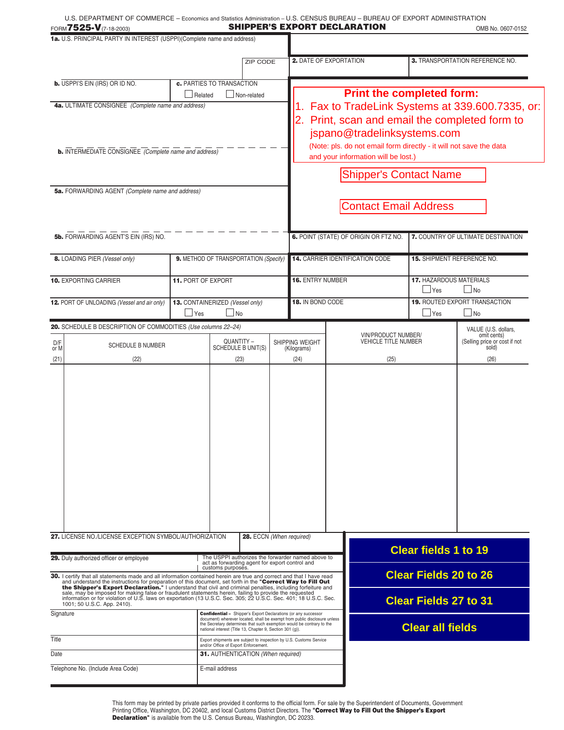|                                                                                                                                                                                                                                                                                                                                                                                                                                                                                                                                                                                                                   | FORM7525-V(7-18-2003)                                                   |                                    |                                                                                                            |                                                                                                                                                                                         | <b>SHIPPER'S EXPORT DECLARATION</b>                                               |                                    | OMB No. 0607-0152                                 |
|-------------------------------------------------------------------------------------------------------------------------------------------------------------------------------------------------------------------------------------------------------------------------------------------------------------------------------------------------------------------------------------------------------------------------------------------------------------------------------------------------------------------------------------------------------------------------------------------------------------------|-------------------------------------------------------------------------|------------------------------------|------------------------------------------------------------------------------------------------------------|-----------------------------------------------------------------------------------------------------------------------------------------------------------------------------------------|-----------------------------------------------------------------------------------|------------------------------------|---------------------------------------------------|
|                                                                                                                                                                                                                                                                                                                                                                                                                                                                                                                                                                                                                   | 1a. U.S. PRINCIPAL PARTY IN INTEREST (USPPI)(Complete name and address) |                                    |                                                                                                            |                                                                                                                                                                                         |                                                                                   |                                    |                                                   |
|                                                                                                                                                                                                                                                                                                                                                                                                                                                                                                                                                                                                                   |                                                                         |                                    | ZIP CODE                                                                                                   |                                                                                                                                                                                         | <b>2.</b> DATE OF EXPORTATION                                                     |                                    | 3. TRANSPORTATION REFERENCE NO.                   |
|                                                                                                                                                                                                                                                                                                                                                                                                                                                                                                                                                                                                                   | <b>b.</b> USPPI'S EIN (IRS) OR ID NO.                                   |                                    | c. PARTIES TO TRANSACTION                                                                                  |                                                                                                                                                                                         |                                                                                   |                                    |                                                   |
|                                                                                                                                                                                                                                                                                                                                                                                                                                                                                                                                                                                                                   |                                                                         | Related                            | Non-related                                                                                                |                                                                                                                                                                                         | <b>Print the completed form:</b><br>Fax to TradeLink Systems at 339.600.7335, or: |                                    |                                                   |
| 4a. ULTIMATE CONSIGNEE (Complete name and address)<br><b>b.</b> INTERMEDIATE CONSIGNEE (Complete name and address)                                                                                                                                                                                                                                                                                                                                                                                                                                                                                                |                                                                         |                                    |                                                                                                            | Print, scan and email the completed form to<br>jspano@tradelinksystems.com<br>(Note: pls. do not email form directly - it will not save the data<br>and your information will be lost.) |                                                                                   |                                    |                                                   |
|                                                                                                                                                                                                                                                                                                                                                                                                                                                                                                                                                                                                                   |                                                                         |                                    |                                                                                                            |                                                                                                                                                                                         | <b>Shipper's Contact Name</b>                                                     |                                    |                                                   |
|                                                                                                                                                                                                                                                                                                                                                                                                                                                                                                                                                                                                                   | 5a. FORWARDING AGENT (Complete name and address)                        |                                    |                                                                                                            |                                                                                                                                                                                         |                                                                                   |                                    |                                                   |
|                                                                                                                                                                                                                                                                                                                                                                                                                                                                                                                                                                                                                   |                                                                         |                                    |                                                                                                            |                                                                                                                                                                                         | <b>Contact Email Address</b>                                                      |                                    |                                                   |
| 5b. FORWARDING AGENT'S EIN (IRS) NO.                                                                                                                                                                                                                                                                                                                                                                                                                                                                                                                                                                              |                                                                         |                                    |                                                                                                            | 6. POINT (STATE) OF ORIGIN OR FTZ NO.                                                                                                                                                   |                                                                                   | 7. COUNTRY OF ULTIMATE DESTINATION |                                                   |
|                                                                                                                                                                                                                                                                                                                                                                                                                                                                                                                                                                                                                   | 8. LOADING PIER (Vessel only)                                           |                                    | 9. METHOD OF TRANSPORTATION (Specify)                                                                      | <b>14. CARRIER IDENTIFICATION CODE</b>                                                                                                                                                  |                                                                                   | <b>15. SHIPMENT REFERENCE NO.</b>  |                                                   |
|                                                                                                                                                                                                                                                                                                                                                                                                                                                                                                                                                                                                                   | <b>10. EXPORTING CARRIER</b>                                            | <b>11. PORT OF EXPORT</b>          |                                                                                                            |                                                                                                                                                                                         | <b>16. ENTRY NUMBER</b>                                                           |                                    | <b>17. HAZARDOUS MATERIALS</b><br>$\Box$ No       |
|                                                                                                                                                                                                                                                                                                                                                                                                                                                                                                                                                                                                                   | 12. PORT OF UNLOADING (Vessel and air only)                             | $\mathsf{\perp}$ Yes               | 13. CONTAINERIZED (Vessel only)<br>$\blacksquare$ No                                                       | 18. IN BOND CODE                                                                                                                                                                        |                                                                                   | $\mathbin{\sqcup}$ Yes             | <b>19. ROUTED EXPORT TRANSACTION</b><br>$\Box$ No |
|                                                                                                                                                                                                                                                                                                                                                                                                                                                                                                                                                                                                                   | 20. SCHEDULE B DESCRIPTION OF COMMODITIES (Use columns 22-24)           |                                    |                                                                                                            |                                                                                                                                                                                         | VIN/PRODUCT NUMBER/                                                               |                                    | VALUE (U.S. dollars,<br>omit cents)               |
| D/F<br>or M<br>(21)                                                                                                                                                                                                                                                                                                                                                                                                                                                                                                                                                                                               | <b>SCHEDULE B NUMBER</b><br>(22)                                        |                                    | QUANTITY -<br>SCHEDULE B UNIT(S)<br>(23)                                                                   | SHIPPING WEIGHT<br>(Kilograms)<br>(24)                                                                                                                                                  | <b>VEHICLE TITLE NUMBER</b><br>(25)                                               |                                    | (Selling price or cost if not<br>sold)<br>(26)    |
|                                                                                                                                                                                                                                                                                                                                                                                                                                                                                                                                                                                                                   |                                                                         |                                    |                                                                                                            |                                                                                                                                                                                         |                                                                                   |                                    |                                                   |
|                                                                                                                                                                                                                                                                                                                                                                                                                                                                                                                                                                                                                   | 27. LICENSE NO./LICENSE EXCEPTION SYMBOL/AUTHORIZATION                  |                                    | 28. ECCN (When required)                                                                                   |                                                                                                                                                                                         |                                                                                   | <b>Clear fields 1 to 19</b>        |                                                   |
| 29. Duly authorized officer or employee<br>The USPPI authorizes the forwarder named above to<br>act as forwarding agent for export control and<br>customs purposes.                                                                                                                                                                                                                                                                                                                                                                                                                                               |                                                                         |                                    |                                                                                                            |                                                                                                                                                                                         | <b>Clear Fields 20 to 26</b>                                                      |                                    |                                                   |
| 30. I certify that all statements made and all information contained herein are true and correct and that I have read<br>and understand the instructions for preparation of this document, set forth in the "Correct Way to Fill Out<br>the Shipper's Export Declaration." I understand that civil and criminal penalties, including forfeiture and<br>sale, may be imposed for making false or fraudulent statements herein, failing to provide the requested<br>information or for violation of U.S. laws on exportation (13 U.S.C. Sec. 305; 22 U.S.C. Sec. 401; 18 U.S.C. Sec.<br>1001; 50 U.S.C. App. 2410). |                                                                         |                                    |                                                                                                            |                                                                                                                                                                                         | <b>Clear Fields 27 to 31</b>                                                      |                                    |                                                   |
| Signature<br><b>Confidential -</b> Shipper's Export Declarations (or any successor<br>document) wherever located, shall be exempt from public disclosure unless<br>the Secretary determines that such exemption would be contrary to the<br>national interest (Title 13, Chapter 9, Section 301 (q)).                                                                                                                                                                                                                                                                                                             |                                                                         |                                    |                                                                                                            | <b>Clear all fields</b>                                                                                                                                                                 |                                                                                   |                                    |                                                   |
| Title                                                                                                                                                                                                                                                                                                                                                                                                                                                                                                                                                                                                             |                                                                         |                                    | Export shipments are subject to inspection by U.S. Customs Service<br>and/or Office of Export Enforcement. |                                                                                                                                                                                         |                                                                                   |                                    |                                                   |
| Date                                                                                                                                                                                                                                                                                                                                                                                                                                                                                                                                                                                                              |                                                                         | 31. AUTHENTICATION (When required) |                                                                                                            |                                                                                                                                                                                         |                                                                                   |                                    |                                                   |
| Telephone No. (Include Area Code)<br>E-mail address                                                                                                                                                                                                                                                                                                                                                                                                                                                                                                                                                               |                                                                         |                                    |                                                                                                            |                                                                                                                                                                                         |                                                                                   |                                    |                                                   |

This form may be printed by private parties provided it conforms to the official form. For sale by the Superintendent of Documents, Government<br>Printing Office, Washington, DC 20402, and local Customs District Directors. Th **Declaration"** is available from the U.S. Census Bureau, Washington, DC 20233.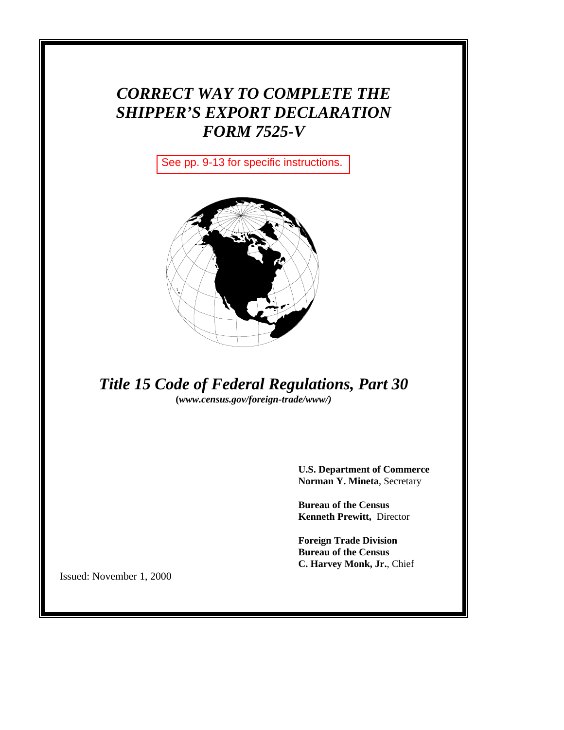# *CORRECT WAY TO COMPLETE THE SHIPPER'S EXPORT DECLARATION FORM 7525-V*

See pp. 9-13 for specific instructions.



*Title 15 Code of Federal Regulations, Part 30* **(***www.census.gov/foreign-trade/www/)*

> **U.S. Department of Commerce Norman Y. Mineta**, Secretary

**Bureau of the Census Kenneth Prewitt,** Director

**Foreign Trade Division Bureau of the Census C. Harvey Monk, Jr.**, Chief

Issued: November 1, 2000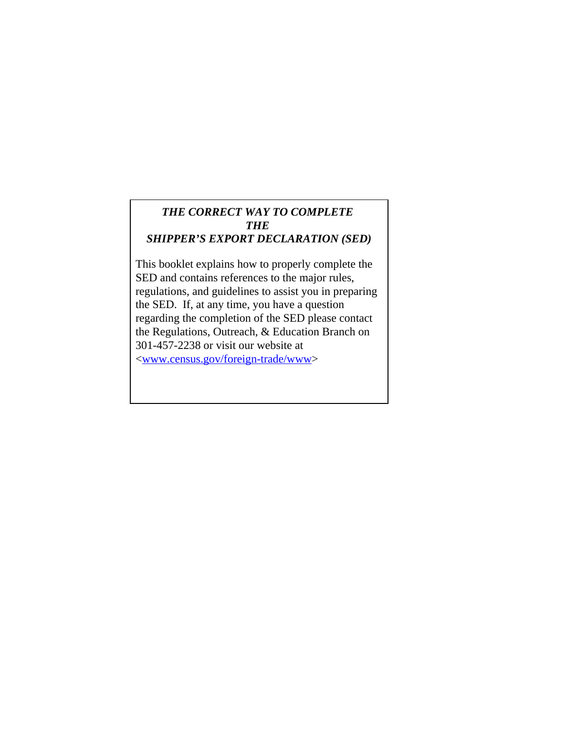## *THE CORRECT WAY TO COMPLETE THE SHIPPER'S EXPORT DECLARATION (SED)*

This booklet explains how to properly complete the SED and contains references to the major rules, regulations, and guidelines to assist you in preparing the SED. If, at any time, you have a question regarding the completion of the SED please contact the Regulations, Outreach, & Education Branch on 301-457-2238 or visit our website at

<www.census.gov/foreign-trade/www>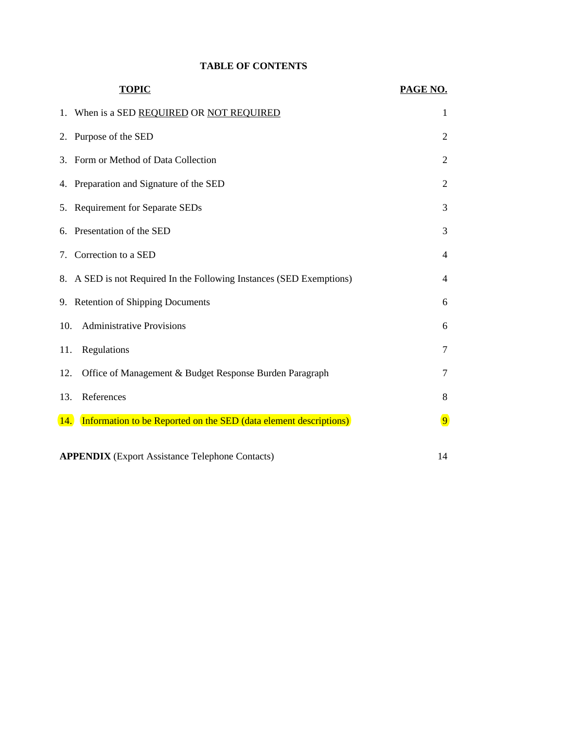## **TABLE OF CONTENTS**

|     | <b>TOPIC</b>                                                         | PAGE NO.       |  |
|-----|----------------------------------------------------------------------|----------------|--|
|     | 1. When is a SED REQUIRED OR NOT REQUIRED                            | 1              |  |
|     | 2. Purpose of the SED                                                | $\overline{2}$ |  |
|     | 3. Form or Method of Data Collection                                 | $\overline{2}$ |  |
|     | 4. Preparation and Signature of the SED                              | $\overline{2}$ |  |
|     | 5. Requirement for Separate SEDs                                     | 3              |  |
| 6.  | Presentation of the SED                                              | 3              |  |
| 7.  | Correction to a SED                                                  | 4              |  |
|     | 8. A SED is not Required In the Following Instances (SED Exemptions) | 4              |  |
|     | 9. Retention of Shipping Documents                                   | 6              |  |
| 10. | <b>Administrative Provisions</b>                                     | 6              |  |
| 11. | Regulations                                                          | 7              |  |
| 12. | Office of Management & Budget Response Burden Paragraph              | 7              |  |
| 13. | References                                                           | 8              |  |
| 14. | Information to be Reported on the SED (data element descriptions)    | $\overline{9}$ |  |
|     | <b>APPENDIX</b> (Export Assistance Telephone Contacts)<br>14         |                |  |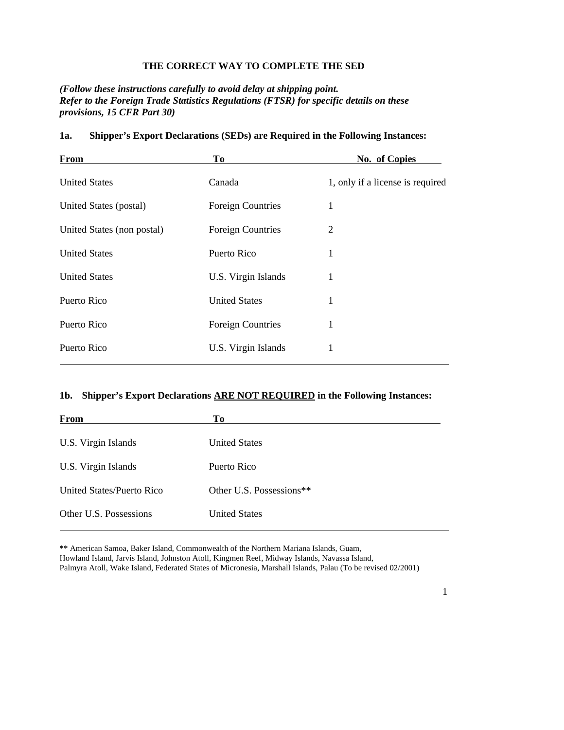## **THE CORRECT WAY TO COMPLETE THE SED**

*(Follow these instructions carefully to avoid delay at shipping point. Refer to the Foreign Trade Statistics Regulations (FTSR) for specific details on these provisions, 15 CFR Part 30)*

| From                       | <b>To</b>                | No. of Copies                    |
|----------------------------|--------------------------|----------------------------------|
| <b>United States</b>       | Canada                   | 1, only if a license is required |
| United States (postal)     | <b>Foreign Countries</b> | 1                                |
| United States (non postal) | <b>Foreign Countries</b> | 2                                |
| <b>United States</b>       | Puerto Rico              | 1                                |
| <b>United States</b>       | U.S. Virgin Islands      | 1                                |
| Puerto Rico                | <b>United States</b>     | 1                                |
| Puerto Rico                | <b>Foreign Countries</b> | 1                                |
| Puerto Rico                | U.S. Virgin Islands      | 1                                |

#### **1a. Shipper's Export Declarations (SEDs) are Required in the Following Instances:**

## **1b. Shipper's Export Declarations ARE NOT REQUIRED in the Following Instances:**

| From                      | To                       |
|---------------------------|--------------------------|
| U.S. Virgin Islands       | <b>United States</b>     |
| U.S. Virgin Islands       | Puerto Rico              |
| United States/Puerto Rico | Other U.S. Possessions** |
| Other U.S. Possessions    | <b>United States</b>     |

**\*\*** American Samoa, Baker Island, Commonwealth of the Northern Mariana Islands, Guam, Howland Island, Jarvis Island, Johnston Atoll, Kingmen Reef, Midway Islands, Navassa Island,

Palmyra Atoll, Wake Island, Federated States of Micronesia, Marshall Islands, Palau (To be revised 02/2001)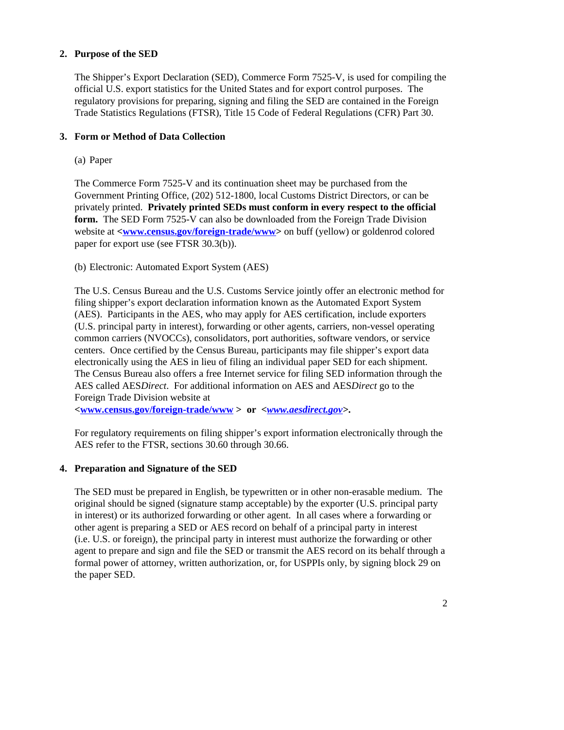## **2. Purpose of the SED**

The Shipper's Export Declaration (SED), Commerce Form 7525-V, is used for compiling the official U.S. export statistics for the United States and for export control purposes. The regulatory provisions for preparing, signing and filing the SED are contained in the Foreign Trade Statistics Regulations (FTSR), Title 15 Code of Federal Regulations (CFR) Part 30.

## **3. Form or Method of Data Collection**

(a) Paper

The Commerce Form 7525-V and its continuation sheet may be purchased from the Government Printing Office, (202) 512-1800, local Customs District Directors, or can be privately printed. **Privately printed SEDs must conform in every respect to the official form.** The SED Form 7525-V can also be downloaded from the Foreign Trade Division website at **<www.census.gov/foreign-trade/www>** on buff (yellow) or goldenrod colored paper for export use (see FTSR 30.3(b)).

(b) Electronic: Automated Export System (AES)

The U.S. Census Bureau and the U.S. Customs Service jointly offer an electronic method for filing shipper's export declaration information known as the Automated Export System (AES). Participants in the AES, who may apply for AES certification, include exporters (U.S. principal party in interest), forwarding or other agents, carriers, non-vessel operating common carriers (NVOCCs), consolidators, port authorities, software vendors, or service centers. Once certified by the Census Bureau, participants may file shipper's export data electronically using the AES in lieu of filing an individual paper SED for each shipment. The Census Bureau also offers a free Internet service for filing SED information through the AES called AES*Direct*. For additional information on AES and AES*Direct* go to the Foreign Trade Division website at

**<www.census.gov/foreign-trade/www > or** *<www.aesdirect.gov>***.**

For regulatory requirements on filing shipper's export information electronically through the AES refer to the FTSR, sections 30.60 through 30.66.

## **4. Preparation and Signature of the SED**

The SED must be prepared in English, be typewritten or in other non-erasable medium. The original should be signed (signature stamp acceptable) by the exporter (U.S. principal party in interest) or its authorized forwarding or other agent. In all cases where a forwarding or other agent is preparing a SED or AES record on behalf of a principal party in interest (i.e. U.S. or foreign), the principal party in interest must authorize the forwarding or other agent to prepare and sign and file the SED or transmit the AES record on its behalf through a formal power of attorney, written authorization, or, for USPPIs only, by signing block 29 on the paper SED.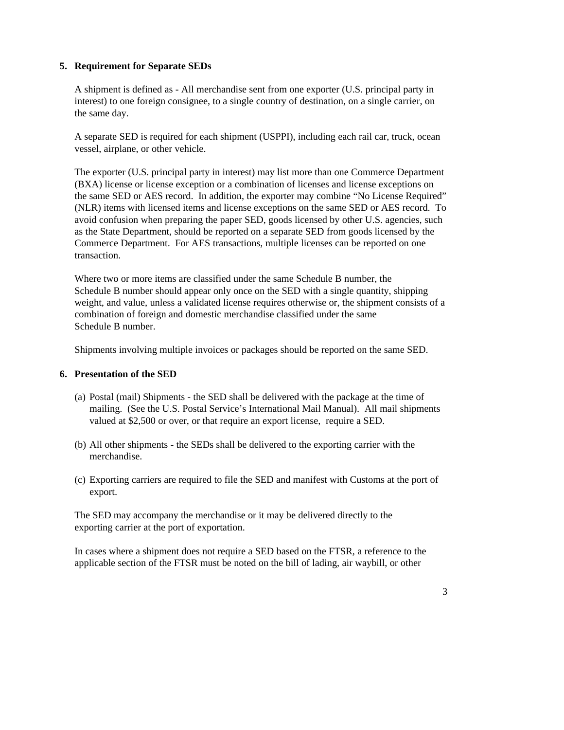## **5. Requirement for Separate SEDs**

A shipment is defined as - All merchandise sent from one exporter (U.S. principal party in interest) to one foreign consignee, to a single country of destination, on a single carrier, on the same day.

A separate SED is required for each shipment (USPPI), including each rail car, truck, ocean vessel, airplane, or other vehicle.

The exporter (U.S. principal party in interest) may list more than one Commerce Department (BXA) license or license exception or a combination of licenses and license exceptions on the same SED or AES record. In addition, the exporter may combine "No License Required" (NLR) items with licensed items and license exceptions on the same SED or AES record. To avoid confusion when preparing the paper SED, goods licensed by other U.S. agencies, such as the State Department, should be reported on a separate SED from goods licensed by the Commerce Department. For AES transactions, multiple licenses can be reported on one transaction.

Where two or more items are classified under the same Schedule B number, the Schedule B number should appear only once on the SED with a single quantity, shipping weight, and value, unless a validated license requires otherwise or, the shipment consists of a combination of foreign and domestic merchandise classified under the same Schedule B number.

Shipments involving multiple invoices or packages should be reported on the same SED.

#### **6. Presentation of the SED**

- (a) Postal (mail) Shipments the SED shall be delivered with the package at the time of mailing. (See the U.S. Postal Service's International Mail Manual). All mail shipments valued at \$2,500 or over, or that require an export license, require a SED.
- (b) All other shipments the SEDs shall be delivered to the exporting carrier with the merchandise.
- (c) Exporting carriers are required to file the SED and manifest with Customs at the port of export.

The SED may accompany the merchandise or it may be delivered directly to the exporting carrier at the port of exportation.

In cases where a shipment does not require a SED based on the FTSR, a reference to the applicable section of the FTSR must be noted on the bill of lading, air waybill, or other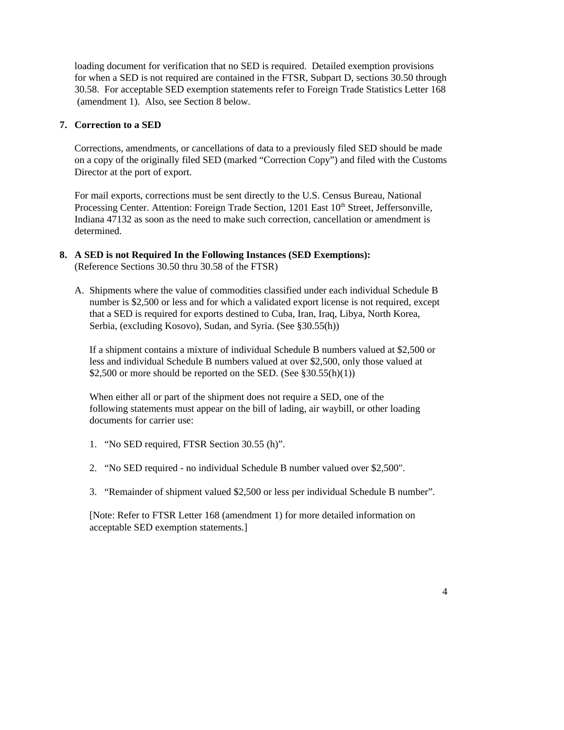loading document for verification that no SED is required. Detailed exemption provisions for when a SED is not required are contained in the FTSR, Subpart D, sections 30.50 through 30.58. For acceptable SED exemption statements refer to Foreign Trade Statistics Letter 168 (amendment 1). Also, see Section 8 below.

#### **7. Correction to a SED**

Corrections, amendments, or cancellations of data to a previously filed SED should be made on a copy of the originally filed SED (marked "Correction Copy") and filed with the Customs Director at the port of export.

For mail exports, corrections must be sent directly to the U.S. Census Bureau, National Processing Center. Attention: Foreign Trade Section, 1201 East 10<sup>th</sup> Street, Jeffersonville, Indiana 47132 as soon as the need to make such correction, cancellation or amendment is determined.

- **8. A SED is not Required In the Following Instances (SED Exemptions):**  (Reference Sections 30.50 thru 30.58 of the FTSR)
	- A. Shipments where the value of commodities classified under each individual Schedule B number is \$2,500 or less and for which a validated export license is not required, except that a SED is required for exports destined to Cuba, Iran, Iraq, Libya, North Korea, Serbia, (excluding Kosovo), Sudan, and Syria. (See §30.55(h))

If a shipment contains a mixture of individual Schedule B numbers valued at \$2,500 or less and individual Schedule B numbers valued at over \$2,500, only those valued at \$2,500 or more should be reported on the SED. (See  $$30.55(h)(1)$ )

When either all or part of the shipment does not require a SED, one of the following statements must appear on the bill of lading, air waybill, or other loading documents for carrier use:

- 1. "No SED required, FTSR Section 30.55 (h)".
- 2. "No SED required no individual Schedule B number valued over \$2,500".
- 3. "Remainder of shipment valued \$2,500 or less per individual Schedule B number".

[Note: Refer to FTSR Letter 168 (amendment 1) for more detailed information on acceptable SED exemption statements.]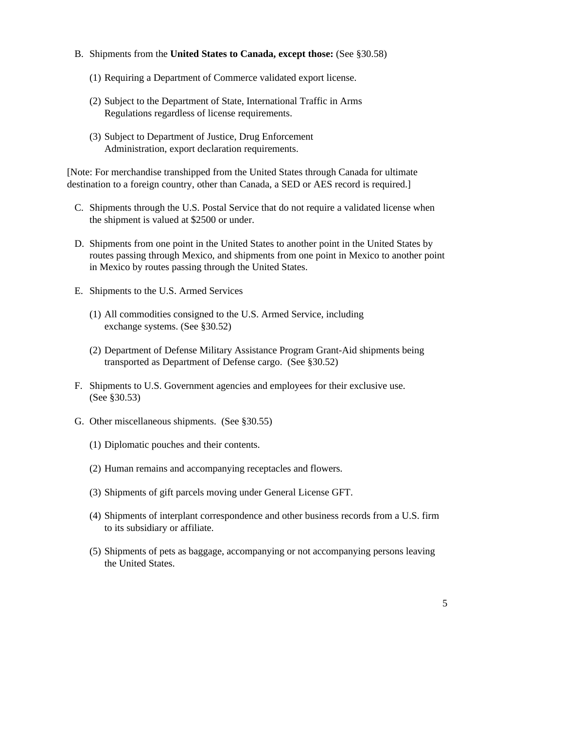- B. Shipments from the **United States to Canada, except those:** (See §30.58)
	- (1) Requiring a Department of Commerce validated export license.
	- (2) Subject to the Department of State, International Traffic in Arms Regulations regardless of license requirements.
	- (3) Subject to Department of Justice, Drug Enforcement Administration, export declaration requirements.

[Note: For merchandise transhipped from the United States through Canada for ultimate destination to a foreign country, other than Canada, a SED or AES record is required.]

- C. Shipments through the U.S. Postal Service that do not require a validated license when the shipment is valued at \$2500 or under.
- D. Shipments from one point in the United States to another point in the United States by routes passing through Mexico, and shipments from one point in Mexico to another point in Mexico by routes passing through the United States.
- E. Shipments to the U.S. Armed Services
	- (1) All commodities consigned to the U.S. Armed Service, including exchange systems. (See §30.52)
	- (2) Department of Defense Military Assistance Program Grant-Aid shipments being transported as Department of Defense cargo. (See §30.52)
- F. Shipments to U.S. Government agencies and employees for their exclusive use. (See §30.53)
- G. Other miscellaneous shipments. (See §30.55)
	- (1) Diplomatic pouches and their contents.
	- (2) Human remains and accompanying receptacles and flowers.
	- (3) Shipments of gift parcels moving under General License GFT.
	- (4) Shipments of interplant correspondence and other business records from a U.S. firm to its subsidiary or affiliate.
	- (5) Shipments of pets as baggage, accompanying or not accompanying persons leaving the United States.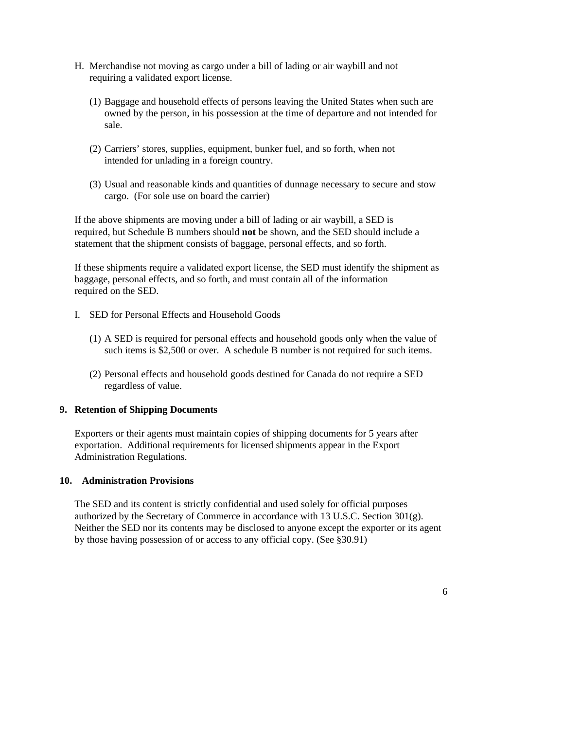- H. Merchandise not moving as cargo under a bill of lading or air waybill and not requiring a validated export license.
	- (1) Baggage and household effects of persons leaving the United States when such are owned by the person, in his possession at the time of departure and not intended for sale.
	- (2) Carriers' stores, supplies, equipment, bunker fuel, and so forth, when not intended for unlading in a foreign country.
	- (3) Usual and reasonable kinds and quantities of dunnage necessary to secure and stow cargo. (For sole use on board the carrier)

If the above shipments are moving under a bill of lading or air waybill, a SED is required, but Schedule B numbers should **not** be shown, and the SED should include a statement that the shipment consists of baggage, personal effects, and so forth.

If these shipments require a validated export license, the SED must identify the shipment as baggage, personal effects, and so forth, and must contain all of the information required on the SED.

- I. SED for Personal Effects and Household Goods
	- (1) A SED is required for personal effects and household goods only when the value of such items is \$2,500 or over. A schedule B number is not required for such items.
	- (2) Personal effects and household goods destined for Canada do not require a SED regardless of value.

#### **9. Retention of Shipping Documents**

Exporters or their agents must maintain copies of shipping documents for 5 years after exportation. Additional requirements for licensed shipments appear in the Export Administration Regulations.

#### **10. Administration Provisions**

The SED and its content is strictly confidential and used solely for official purposes authorized by the Secretary of Commerce in accordance with 13 U.S.C. Section  $301(g)$ . Neither the SED nor its contents may be disclosed to anyone except the exporter or its agent by those having possession of or access to any official copy. (See §30.91)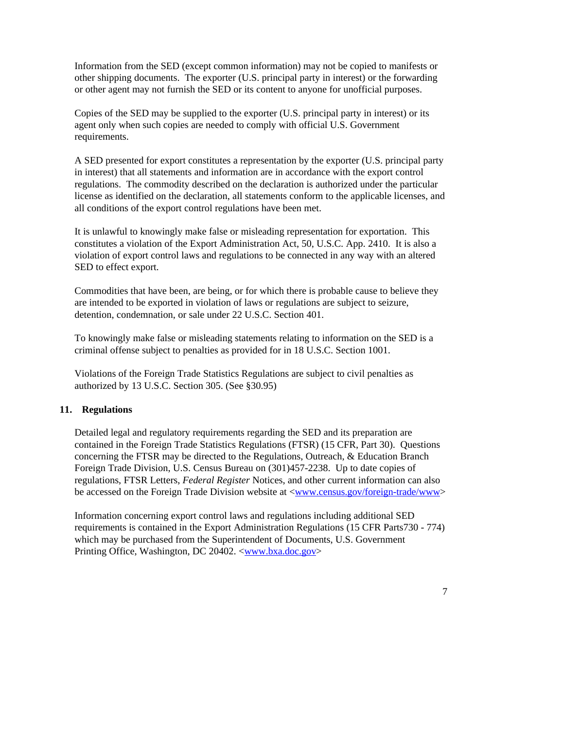Information from the SED (except common information) may not be copied to manifests or other shipping documents. The exporter (U.S. principal party in interest) or the forwarding or other agent may not furnish the SED or its content to anyone for unofficial purposes.

Copies of the SED may be supplied to the exporter (U.S. principal party in interest) or its agent only when such copies are needed to comply with official U.S. Government requirements.

A SED presented for export constitutes a representation by the exporter (U.S. principal party in interest) that all statements and information are in accordance with the export control regulations. The commodity described on the declaration is authorized under the particular license as identified on the declaration, all statements conform to the applicable licenses, and all conditions of the export control regulations have been met.

It is unlawful to knowingly make false or misleading representation for exportation. This constitutes a violation of the Export Administration Act, 50, U.S.C. App. 2410. It is also a violation of export control laws and regulations to be connected in any way with an altered SED to effect export.

Commodities that have been, are being, or for which there is probable cause to believe they are intended to be exported in violation of laws or regulations are subject to seizure, detention, condemnation, or sale under 22 U.S.C. Section 401.

To knowingly make false or misleading statements relating to information on the SED is a criminal offense subject to penalties as provided for in 18 U.S.C. Section 1001.

Violations of the Foreign Trade Statistics Regulations are subject to civil penalties as authorized by 13 U.S.C. Section 305. (See §30.95)

#### **11. Regulations**

Detailed legal and regulatory requirements regarding the SED and its preparation are contained in the Foreign Trade Statistics Regulations (FTSR) (15 CFR, Part 30). Questions concerning the FTSR may be directed to the Regulations, Outreach, & Education Branch Foreign Trade Division, U.S. Census Bureau on (301)457-2238. Up to date copies of regulations, FTSR Letters, *Federal Register* Notices, and other current information can also be accessed on the Foreign Trade Division website at <www.census.gov/foreign-trade/www>

Information concerning export control laws and regulations including additional SED requirements is contained in the Export Administration Regulations (15 CFR Parts730 - 774) which may be purchased from the Superintendent of Documents, U.S. Government Printing Office, Washington, DC 20402. <www.bxa.doc.gov>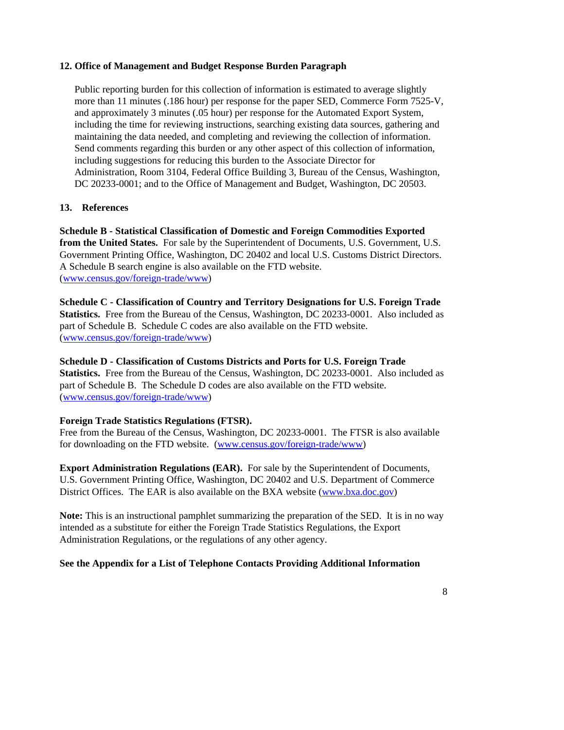## **12. Office of Management and Budget Response Burden Paragraph**

Public reporting burden for this collection of information is estimated to average slightly more than 11 minutes (.186 hour) per response for the paper SED, Commerce Form 7525-V, and approximately 3 minutes (.05 hour) per response for the Automated Export System, including the time for reviewing instructions, searching existing data sources, gathering and maintaining the data needed, and completing and reviewing the collection of information. Send comments regarding this burden or any other aspect of this collection of information, including suggestions for reducing this burden to the Associate Director for Administration, Room 3104, Federal Office Building 3, Bureau of the Census, Washington, DC 20233-0001; and to the Office of Management and Budget, Washington, DC 20503.

## **13. References**

**Schedule B - Statistical Classification of Domestic and Foreign Commodities Exported from the United States.** For sale by the Superintendent of Documents, U.S. Government, U.S. Government Printing Office, Washington, DC 20402 and local U.S. Customs District Directors. A Schedule B search engine is also available on the FTD website. (www.census.gov/foreign-trade/www)

**Schedule C - Classification of Country and Territory Designations for U.S. Foreign Trade Statistics.** Free from the Bureau of the Census, Washington, DC 20233-0001. Also included as part of Schedule B. Schedule C codes are also available on the FTD website. (www.census.gov/foreign-trade/www)

## **Schedule D - Classification of Customs Districts and Ports for U.S. Foreign Trade**

**Statistics.** Free from the Bureau of the Census, Washington, DC 20233-0001. Also included as part of Schedule B. The Schedule D codes are also available on the FTD website. (www.census.gov/foreign-trade/www)

## **Foreign Trade Statistics Regulations (FTSR).**

Free from the Bureau of the Census, Washington, DC 20233-0001. The FTSR is also available for downloading on the FTD website. (www.census.gov/foreign-trade/www)

**Export Administration Regulations (EAR).** For sale by the Superintendent of Documents, U.S. Government Printing Office, Washington, DC 20402 and U.S. Department of Commerce District Offices. The EAR is also available on the BXA website (www.bxa.doc.gov)

**Note:** This is an instructional pamphlet summarizing the preparation of the SED. It is in no way intended as a substitute for either the Foreign Trade Statistics Regulations, the Export Administration Regulations, or the regulations of any other agency.

## **See the Appendix for a List of Telephone Contacts Providing Additional Information**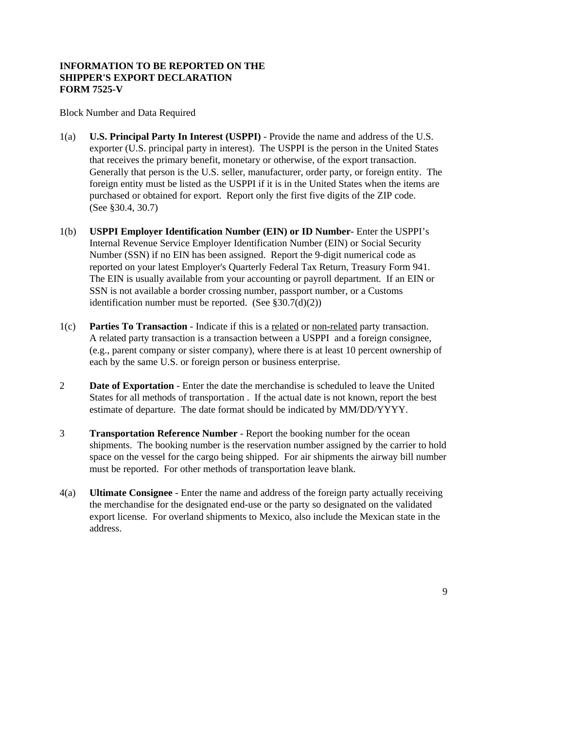## **INFORMATION TO BE REPORTED ON THE SHIPPER'S EXPORT DECLARATION FORM 7525-V**

Block Number and Data Required

- 1(a) **U.S. Principal Party In Interest (USPPI)** Provide the name and address of the U.S. exporter (U.S. principal party in interest). The USPPI is the person in the United States that receives the primary benefit, monetary or otherwise, of the export transaction. Generally that person is the U.S. seller, manufacturer, order party, or foreign entity. The foreign entity must be listed as the USPPI if it is in the United States when the items are purchased or obtained for export. Report only the first five digits of the ZIP code. (See §30.4, 30.7)
- 1(b) **USPPI Employer Identification Number (EIN) or ID Number** Enter the USPPI's Internal Revenue Service Employer Identification Number (EIN) or Social Security Number (SSN) if no EIN has been assigned. Report the 9-digit numerical code as reported on your latest Employer's Quarterly Federal Tax Return, Treasury Form 941. The EIN is usually available from your accounting or payroll department. If an EIN or SSN is not available a border crossing number, passport number, or a Customs identification number must be reported. (See  $$30.7(d)(2))$ )
- 1(c) **Parties To Transaction** Indicate if this is a related or non-related party transaction. A related party transaction is a transaction between a USPPI and a foreign consignee, (e.g., parent company or sister company), where there is at least 10 percent ownership of each by the same U.S. or foreign person or business enterprise.
- 2 **Date of Exportation** Enter the date the merchandise is scheduled to leave the United States for all methods of transportation . If the actual date is not known, report the best estimate of departure. The date format should be indicated by MM/DD/YYYY.
- 3 **Transportation Reference Number** Report the booking number for the ocean shipments. The booking number is the reservation number assigned by the carrier to hold space on the vessel for the cargo being shipped. For air shipments the airway bill number must be reported. For other methods of transportation leave blank.
- 4(a) **Ultimate Consignee** Enter the name and address of the foreign party actually receiving the merchandise for the designated end-use or the party so designated on the validated export license. For overland shipments to Mexico, also include the Mexican state in the address.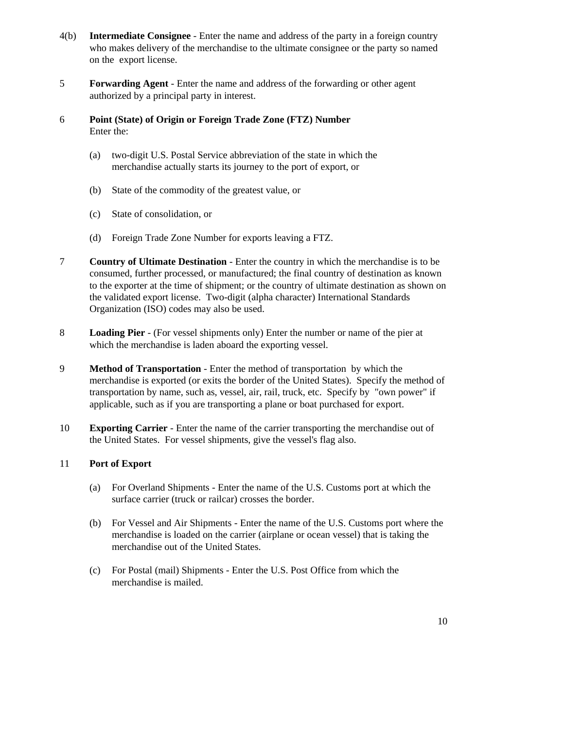- 4(b) **Intermediate Consignee** Enter the name and address of the party in a foreign country who makes delivery of the merchandise to the ultimate consignee or the party so named on the export license.
- 5 **Forwarding Agent** Enter the name and address of the forwarding or other agent authorized by a principal party in interest.
- 6 **Point (State) of Origin or Foreign Trade Zone (FTZ) Number** Enter the:
	- (a) two-digit U.S. Postal Service abbreviation of the state in which the merchandise actually starts its journey to the port of export, or
	- (b) State of the commodity of the greatest value, or
	- (c) State of consolidation, or
	- (d) Foreign Trade Zone Number for exports leaving a FTZ.
- 7 **Country of Ultimate Destination** Enter the country in which the merchandise is to be consumed, further processed, or manufactured; the final country of destination as known to the exporter at the time of shipment; or the country of ultimate destination as shown on the validated export license. Two-digit (alpha character) International Standards Organization (ISO) codes may also be used.
- 8 **Loading Pier** (For vessel shipments only) Enter the number or name of the pier at which the merchandise is laden aboard the exporting vessel.
- 9 **Method of Transportation** Enter the method of transportation by which the merchandise is exported (or exits the border of the United States). Specify the method of transportation by name, such as, vessel, air, rail, truck, etc. Specify by "own power" if applicable, such as if you are transporting a plane or boat purchased for export.
- 10 **Exporting Carrier** Enter the name of the carrier transporting the merchandise out of the United States. For vessel shipments, give the vessel's flag also.

## 11 **Port of Export**

- (a) For Overland Shipments Enter the name of the U.S. Customs port at which the surface carrier (truck or railcar) crosses the border.
- (b) For Vessel and Air Shipments Enter the name of the U.S. Customs port where the merchandise is loaded on the carrier (airplane or ocean vessel) that is taking the merchandise out of the United States.
- (c) For Postal (mail) Shipments Enter the U.S. Post Office from which the merchandise is mailed.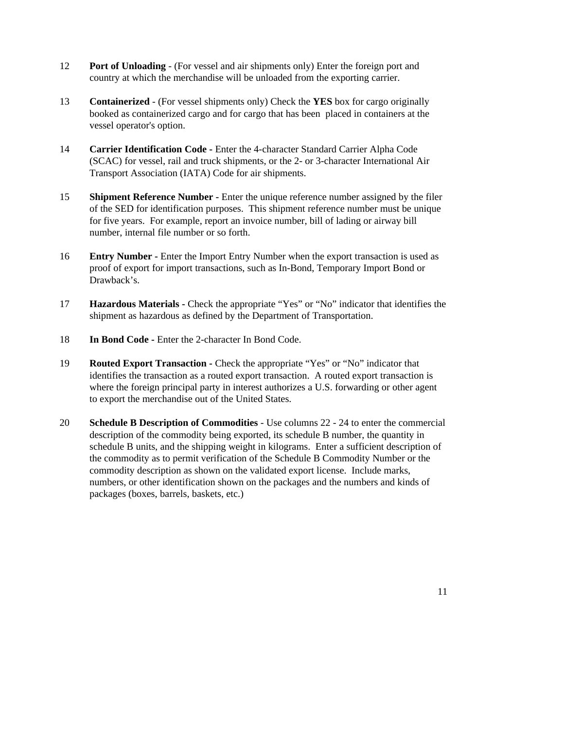- 12 **Port of Unloading** (For vessel and air shipments only) Enter the foreign port and country at which the merchandise will be unloaded from the exporting carrier.
- 13 **Containerized** (For vessel shipments only) Check the **YES** box for cargo originally booked as containerized cargo and for cargo that has been placed in containers at the vessel operator's option.
- 14 **Carrier Identification Code -** Enter the 4-character Standard Carrier Alpha Code (SCAC) for vessel, rail and truck shipments, or the 2- or 3-character International Air Transport Association (IATA) Code for air shipments.
- 15 **Shipment Reference Number** Enter the unique reference number assigned by the filer of the SED for identification purposes. This shipment reference number must be unique for five years. For example, report an invoice number, bill of lading or airway bill number, internal file number or so forth.
- 16 **Entry Number** Enter the Import Entry Number when the export transaction is used as proof of export for import transactions, such as In-Bond, Temporary Import Bond or Drawback's.
- 17 **Hazardous Materials -** Check the appropriate "Yes" or "No" indicator that identifies the shipment as hazardous as defined by the Department of Transportation.
- 18 **In Bond Code -** Enter the 2-character In Bond Code.
- 19 **Routed Export Transaction -** Check the appropriate "Yes" or "No" indicator that identifies the transaction as a routed export transaction. A routed export transaction is where the foreign principal party in interest authorizes a U.S. forwarding or other agent to export the merchandise out of the United States.
- 20 **Schedule B Description of Commodities** Use columns 22 24 to enter the commercial description of the commodity being exported, its schedule B number, the quantity in schedule B units, and the shipping weight in kilograms. Enter a sufficient description of the commodity as to permit verification of the Schedule B Commodity Number or the commodity description as shown on the validated export license. Include marks, numbers, or other identification shown on the packages and the numbers and kinds of packages (boxes, barrels, baskets, etc.)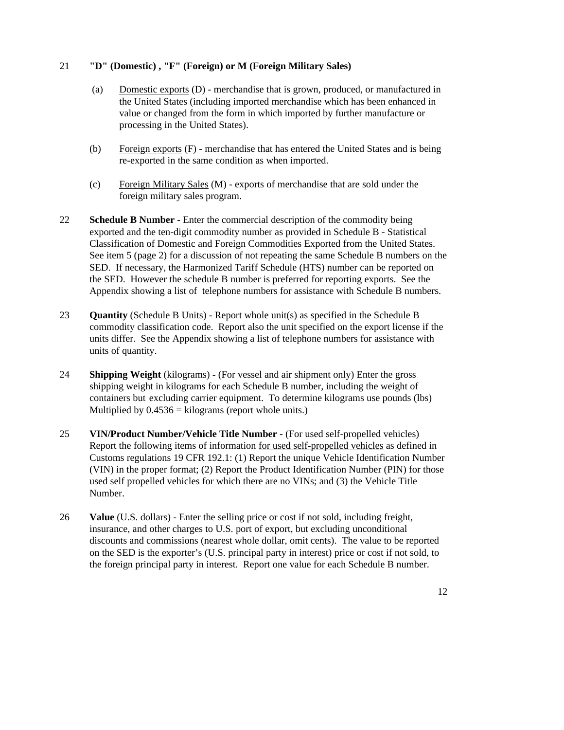## 21 **"D" (Domestic) , "F" (Foreign) or M (Foreign Military Sales)**

- (a) Domestic exports (D) merchandise that is grown, produced, or manufactured in the United States (including imported merchandise which has been enhanced in value or changed from the form in which imported by further manufacture or processing in the United States).
- (b) Foreign exports (F) merchandise that has entered the United States and is being re-exported in the same condition as when imported.
- (c) Foreign Military Sales (M) exports of merchandise that are sold under the foreign military sales program.
- 22 **Schedule B Number -** Enter the commercial description of the commodity being exported and the ten-digit commodity number as provided in Schedule B - Statistical Classification of Domestic and Foreign Commodities Exported from the United States. See item 5 (page 2) for a discussion of not repeating the same Schedule B numbers on the SED. If necessary, the Harmonized Tariff Schedule (HTS) number can be reported on the SED. However the schedule B number is preferred for reporting exports. See the Appendix showing a list of telephone numbers for assistance with Schedule B numbers.
- 23 **Quantity** (Schedule B Units) Report whole unit(s) as specified in the Schedule B commodity classification code. Report also the unit specified on the export license if the units differ. See the Appendix showing a list of telephone numbers for assistance with units of quantity.
- 24 **Shipping Weight** (kilograms) (For vessel and air shipment only) Enter the gross shipping weight in kilograms for each Schedule B number, including the weight of containers but excluding carrier equipment. To determine kilograms use pounds (lbs) Multiplied by  $0.4536 =$  kilograms (report whole units.)
- 25 **VIN/Product Number/Vehicle Title Number -** (For used self-propelled vehicles) Report the following items of information for used self-propelled vehicles as defined in Customs regulations 19 CFR 192.1: (1) Report the unique Vehicle Identification Number (VIN) in the proper format; (2) Report the Product Identification Number (PIN) for those used self propelled vehicles for which there are no VINs; and (3) the Vehicle Title Number.
- 26 **Value** (U.S. dollars) Enter the selling price or cost if not sold, including freight, insurance, and other charges to U.S. port of export, but excluding unconditional discounts and commissions (nearest whole dollar, omit cents). The value to be reported on the SED is the exporter's (U.S. principal party in interest) price or cost if not sold, to the foreign principal party in interest. Report one value for each Schedule B number.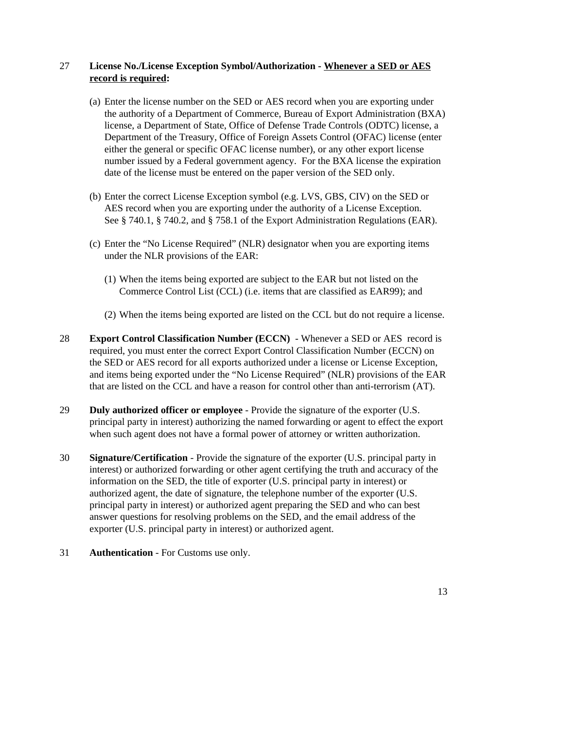## 27 **License No./License Exception Symbol/Authorization - Whenever a SED or AES record is required:**

- (a) Enter the license number on the SED or AES record when you are exporting under the authority of a Department of Commerce, Bureau of Export Administration (BXA) license, a Department of State, Office of Defense Trade Controls (ODTC) license, a Department of the Treasury, Office of Foreign Assets Control (OFAC) license (enter either the general or specific OFAC license number), or any other export license number issued by a Federal government agency. For the BXA license the expiration date of the license must be entered on the paper version of the SED only.
- (b) Enter the correct License Exception symbol (e.g. LVS, GBS, CIV) on the SED or AES record when you are exporting under the authority of a License Exception. See § 740.1, § 740.2, and § 758.1 of the Export Administration Regulations (EAR).
- (c) Enter the "No License Required" (NLR) designator when you are exporting items under the NLR provisions of the EAR:
	- (1) When the items being exported are subject to the EAR but not listed on the Commerce Control List (CCL) (i.e. items that are classified as EAR99); and
	- (2) When the items being exported are listed on the CCL but do not require a license.
- 28 **Export Control Classification Number (ECCN)** Whenever a SED or AES record is required, you must enter the correct Export Control Classification Number (ECCN) on the SED or AES record for all exports authorized under a license or License Exception, and items being exported under the "No License Required" (NLR) provisions of the EAR that are listed on the CCL and have a reason for control other than anti-terrorism (AT).
- 29 **Duly authorized officer or employee** Provide the signature of the exporter (U.S. principal party in interest) authorizing the named forwarding or agent to effect the export when such agent does not have a formal power of attorney or written authorization.
- 30 **Signature/Certification** Provide the signature of the exporter (U.S. principal party in interest) or authorized forwarding or other agent certifying the truth and accuracy of the information on the SED, the title of exporter (U.S. principal party in interest) or authorized agent, the date of signature, the telephone number of the exporter (U.S. principal party in interest) or authorized agent preparing the SED and who can best answer questions for resolving problems on the SED, and the email address of the exporter (U.S. principal party in interest) or authorized agent.
- 31 **Authentication** For Customs use only.